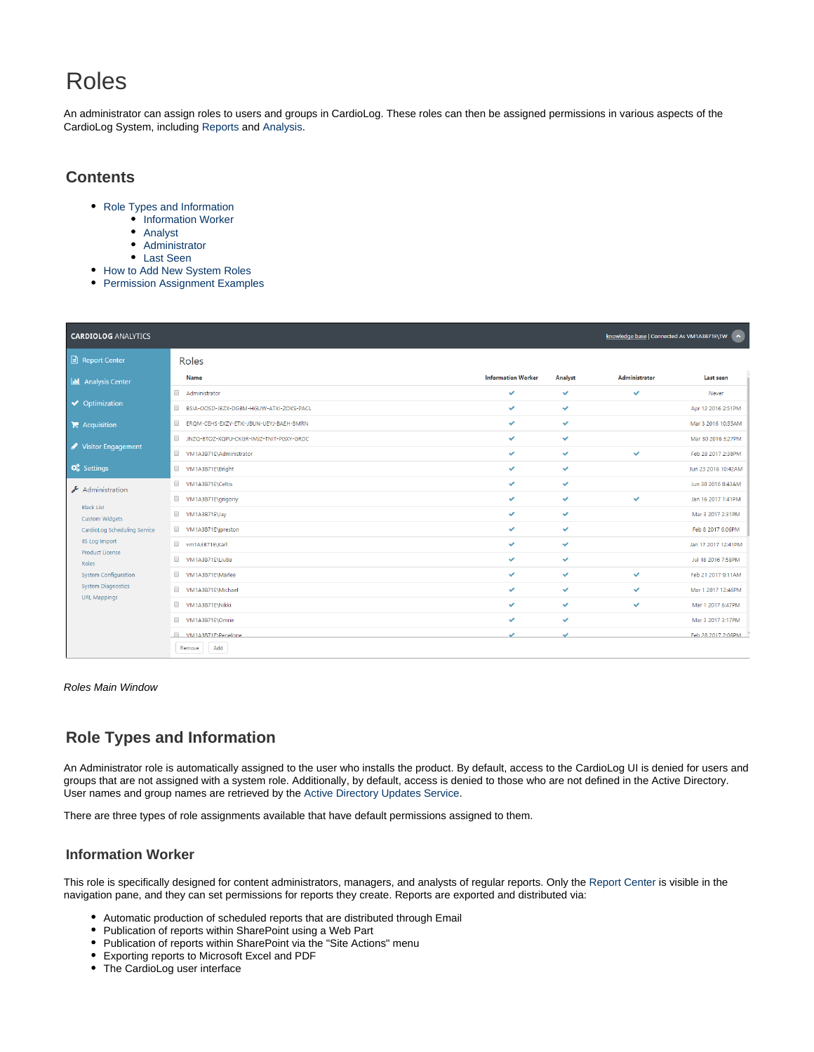# Roles

An administrator can assign roles to users and groups in CardioLog. These roles can then be assigned permissions in various aspects of the CardioLog System, including [Reports](https://kb.intlock.com/display/Support/Report+Center#ReportCenter-permissions) and [Analysis](https://kb.intlock.com/display/Support/Analysis+Center#AnalysisCenter-setpermissions).

## **Contents**

- [Role Types and Information](#page-0-0)
	- [Information Worker](#page-0-1)
	- [Analyst](#page-1-0)
	- [Administrator](#page-1-1)
	- [Last Seen](#page-1-2)
- [How to Add New System Roles](#page-1-3)
- [Permission Assignment Examples](#page-3-0)

| <b>CARDIOLOG ANALYTICS</b>                                                 |                                         |                           |              | knowledge base   Connected As VM1A3B71E\TW < |                     |
|----------------------------------------------------------------------------|-----------------------------------------|---------------------------|--------------|----------------------------------------------|---------------------|
| Report Center                                                              | Roles                                   |                           |              |                                              |                     |
| <b>II</b> Analysis Center                                                  | <b>Name</b>                             | <b>Information Worker</b> | Analyst      | Administrator                                | Last seen           |
| ◆ Optimization                                                             | Administrator                           | $\checkmark$              | $\checkmark$ | $\checkmark$                                 | Never               |
|                                                                            | BSIA-OOSD-JBZX-DGBM-HGUW-ATXI-ZOKS-PACL | $\checkmark$              | $\checkmark$ |                                              | Apr 12 2016 2:51PM  |
| $\blacktriangleright$ Acquisition                                          | ERQM-CEHS-EXZY-ETXI-JBUN-UEYJ-BAEH-BMRN | $\checkmark$              | $\checkmark$ |                                              | Mar 3 2016 10:55AM  |
|                                                                            | INZQ-BTOZ-XQPU-CKGR-IMJZ-TNIT-PGXY-GRDC | ✓                         | ✓            |                                              | Mar 30 2016 3:27PM  |
| Visitor Engagement                                                         | WM1A3B71E\Administrator                 | $\checkmark$              | $\checkmark$ | $\checkmark$                                 | Feb 28 2017 2:38PM  |
| <b>Q</b> <sup>8</sup> Settings                                             | VM1A3B71E\Bright                        | $\checkmark$              | $\checkmark$ |                                              | Jun 23 2016 10:42AM |
| Administration                                                             | WM1A3B71E\Celtis                        | $\checkmark$              | $\checkmark$ |                                              | Jun 30 2016 8:43AM  |
|                                                                            | WM1A3B71E\grigoriy                      | $\checkmark$              | $\checkmark$ | ✓                                            | Jan 16 2017 1:41PM  |
| <b>Black List</b><br><b>Custom Widgets</b><br>CardioLog Scheduling Service | VM1A3B71EVay                            | $\checkmark$              | $\checkmark$ |                                              | Mar 3 2017 2:31PM   |
|                                                                            | WM1A3B71E\jpreston                      | $\checkmark$              | $\checkmark$ |                                              | Feb 8 2017 6:06PM   |
| <b>IIS Log Import</b><br><b>Product License</b>                            | wm1A3B71E\Karl                          | ✓                         | ✓            |                                              | Jan 17 2017 12:41PM |
| Roles                                                                      | VM1A3B71E\Liuba                         | $\checkmark$              | $\checkmark$ |                                              | Jul 18 2016 7:58PM  |
| <b>System Configuration</b>                                                | WM1A3B71E\Marlee                        | $\checkmark$              | $\checkmark$ | $\checkmark$                                 | Feb 21 2017 9:11AM  |
| <b>System Diagnostics</b><br><b>URL Mappings</b>                           | WM1A3B71E\Michael                       | $\checkmark$              | $\checkmark$ | $\checkmark$                                 | Mar 1 2017 12:46PM  |
|                                                                            | VM1A3B71E\Nikki                         | ✓                         | $\checkmark$ | $\checkmark$                                 | Mar 1 2017 6:47PM   |
|                                                                            | VM1A3B71E\Omrie                         | $\checkmark$              | $\checkmark$ |                                              | Mar 3 2017 3:17PM   |
|                                                                            | VM1A3B71F\Penelone                      | $\checkmark$              | $\checkmark$ |                                              | Feb 28 2017 2:06PM  |
|                                                                            | Add<br>Remove                           |                           |              |                                              |                     |

#### Roles Main Window

# <span id="page-0-0"></span>**Role Types and Information**

An Administrator role is automatically assigned to the user who installs the product. By default, access to the CardioLog UI is denied for users and groups that are not assigned with a system role. Additionally, by default, access is denied to those who are not defined in the Active Directory. User names and group names are retrieved by the [Active Directory Updates Service.](https://kb.intlock.com/display/Support/CardioLog+Scheduling+Service#CardioLogSchedulingService-activedirectory)

There are three types of role assignments available that have default permissions assigned to them.

### <span id="page-0-1"></span>**Information Worker**

This role is specifically designed for content administrators, managers, and analysts of regular reports. Only the [Report Center](https://kb.intlock.com/display/Support/Report+Center) is visible in the navigation pane, and they can set permissions for reports they create. Reports are exported and distributed via:

- Automatic production of scheduled reports that are distributed through Email
- Publication of reports within SharePoint using a Web Part
- Publication of reports within SharePoint via the "Site Actions" menu
- Exporting reports to Microsoft Excel and PDF
- The CardioLog user interface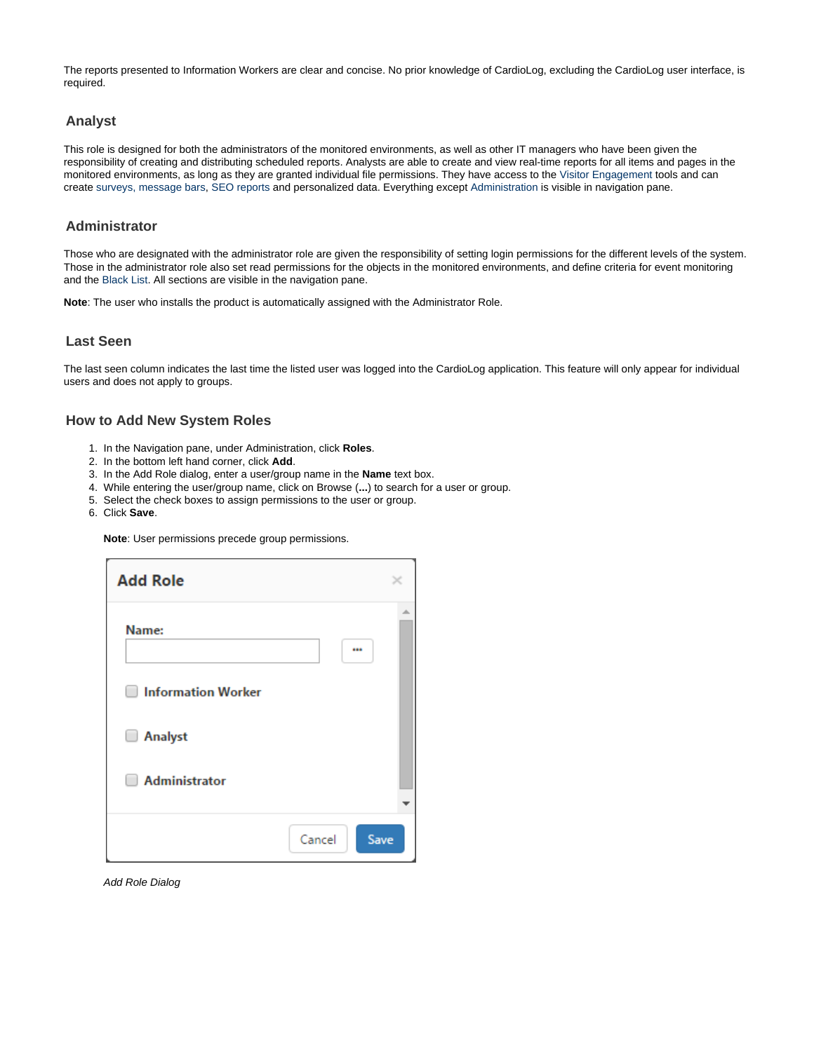The reports presented to Information Workers are clear and concise. No prior knowledge of CardioLog, excluding the CardioLog user interface, is required.

#### <span id="page-1-0"></span>**Analyst**

This role is designed for both the administrators of the monitored environments, as well as other IT managers who have been given the responsibility of creating and distributing scheduled reports. Analysts are able to create and view real-time reports for all items and pages in the monitored environments, as long as they are granted individual file permissions. They have access to the [Visitor Engagement](https://kb.intlock.com/display/Support/Visitor+Engagement) tools and can create [surveys,](https://kb.intlock.com/display/Support/Surveys) [message bars,](https://kb.intlock.com/display/Support/Message+Bars) [SEO reports](https://kb.intlock.com/display/Support/SEO+Reports+-+Configuration) and personalized data. Everything except [Administration](https://kb.intlock.com/display/Support/Administrator+Guide) is visible in navigation pane.

#### <span id="page-1-1"></span>**Administrator**

Those who are designated with the administrator role are given the responsibility of setting login permissions for the different levels of the system. Those in the administrator role also set read permissions for the objects in the monitored environments, and define criteria for event monitoring and the [Black List](https://kb.intlock.com/display/Support/Black+List). All sections are visible in the navigation pane.

**Note**: The user who installs the product is automatically assigned with the Administrator Role.

### <span id="page-1-2"></span>**Last Seen**

The last seen column indicates the last time the listed user was logged into the CardioLog application. This feature will only appear for individual users and does not apply to groups.

## <span id="page-1-3"></span>**How to Add New System Roles**

- 1. In the Navigation pane, under Administration, click **Roles**.
- 2. In the bottom left hand corner, click **Add**.
- 3. In the Add Role dialog, enter a user/group name in the **Name** text box.
- 4. While entering the user/group name, click on Browse (**...**) to search for a user or group.
- 5. Select the check boxes to assign permissions to the user or group.
- 6. Click **Save**.

**Note**: User permissions precede group permissions.

| <b>Add Role</b>                     |        |      |
|-------------------------------------|--------|------|
| Name:                               |        |      |
| <b>Information Worker</b><br>$\Box$ |        |      |
| Analyst<br>u                        |        |      |
| <b>Administrator</b>                |        |      |
|                                     | Cancel | Save |

Add Role Dialog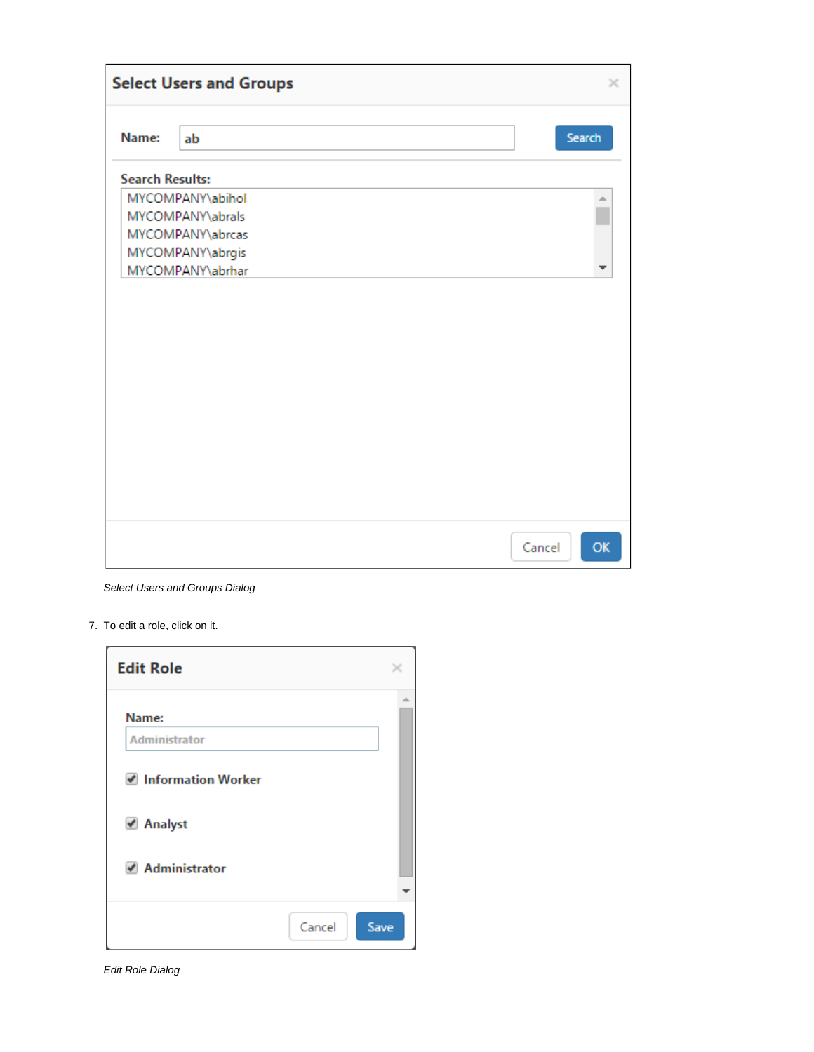|                        | <b>Select Users and Groups</b> | ×            |
|------------------------|--------------------------------|--------------|
| Name:                  | ab                             | Search       |
| <b>Search Results:</b> |                                |              |
|                        | MYCOMPANY\abihol               |              |
|                        | MYCOMPANY\abrals               |              |
|                        | MYCOMPANY\abrcas               |              |
|                        | MYCOMPANY\abrgis               |              |
|                        | MYCOMPANY\abrhar               |              |
|                        |                                |              |
|                        |                                | OK<br>Cancel |

Select Users and Groups Dialog

7. To edit a role, click on it.

| <b>Edit Role</b>     |        |      |
|----------------------|--------|------|
| Name:                |        | ÷    |
| <b>Administrator</b> |        |      |
| Information Worker   |        |      |
| ✔ Analyst            |        |      |
| ✔ Administrator      |        |      |
|                      | Cancel | Save |